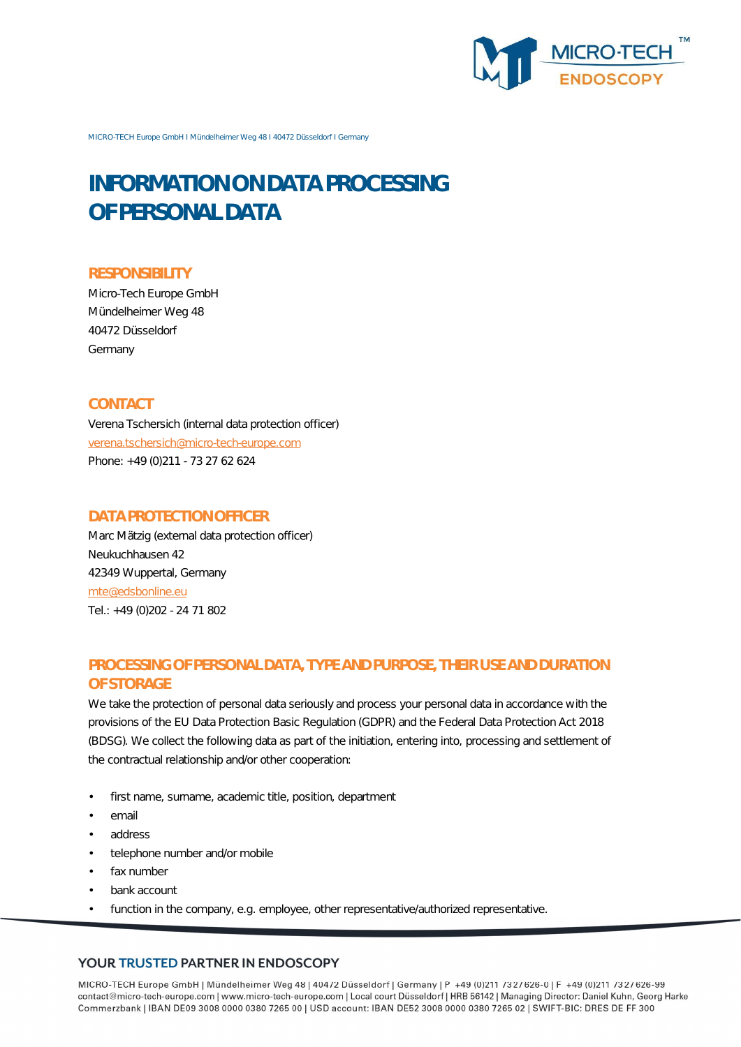

MICRO-TECH Europe GmbH I Mündelheimer Weg 48 I 40472 Düsseldorf I Germany

# **INFORMATION ON DATA PROCESSING OF PERSONAL DATA**

#### **RESPONSIBILITY**

Micro-Tech Europe GmbH Mündelheimer Weg 48 40472 Düsseldorf Germany

## **CONTACT**

Verena Tschersich (internal data protection officer) verena.tschersich@micro-tech-europe.com Phone: +49 (0)211 - 73 27 62 624

## **DATA PROTECTION OFFICER**

Marc Mätzig (external data protection officer) Neukuchhausen 42 42349 Wuppertal, Germany mte@edsbonline.eu Tel.: +49 (0)202 - 24 71 802

# **PROCESSING OF PERSONAL DATA, TYPE AND PURPOSE, THEIR USE AND DURATION OF STORAGE**

We take the protection of personal data seriously and process your personal data in accordance with the provisions of the EU Data Protection Basic Regulation (GDPR) and the Federal Data Protection Act 2018 (BDSG). We collect the following data as part of the initiation, entering into, processing and settlement of the contractual relationship and/or other cooperation:

- first name, surname, academic title, position, department
- email
- address
- telephone number and/or mobile
- fax number
- bank account
- function in the company, e.g. employee, other representative/authorized representative.

#### YOUR TRUSTED PARTNER IN ENDOSCOPY

MICRO-TECH Europe GmbH | Mündelheimer Weg 48 | 40472 Düsseldorf | Germany | P +49 (0)211 7327626-0 | F +49 (0)211 7327626-99 contact@micro-tech-europe.com | www.micro-tech-europe.com | Local court Düsseldorf | HRB 56142 | Managing Director: Daniel Kuhn, Georg Harke Commerzbank | IBAN DE09 3008 0000 0380 7265 00 | USD account: IBAN DE52 3008 0000 0380 7265 02 | SWIFT-BIC: DRES DE FF 300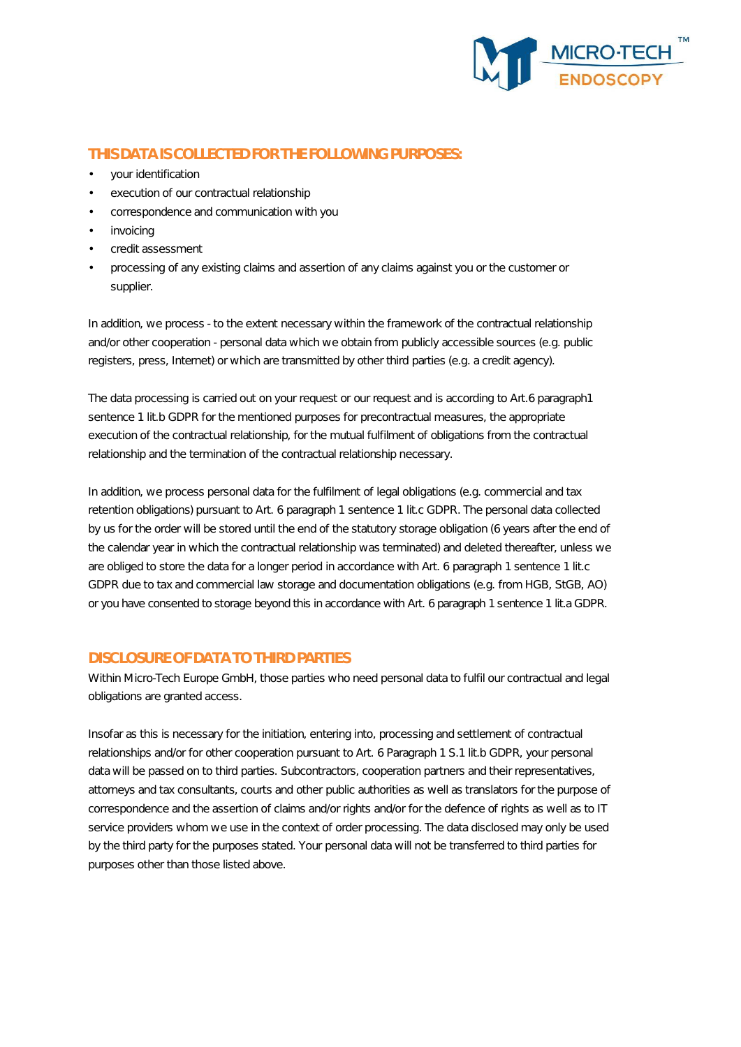

# **THIS DATA IS COLLECTED FOR THE FOLLOWING PURPOSES:**

- your identification
- execution of our contractual relationship
- correspondence and communication with you
- **invoicing**
- credit assessment
- processing of any existing claims and assertion of any claims against you or the customer or supplier.

In addition, we process - to the extent necessary within the framework of the contractual relationship and/or other cooperation - personal data which we obtain from publicly accessible sources (e.g. public registers, press, Internet) or which are transmitted by other third parties (e.g. a credit agency).

The data processing is carried out on your request or our request and is according to Art.6 paragraph1 sentence 1 lit.b GDPR for the mentioned purposes for precontractual measures, the appropriate execution of the contractual relationship, for the mutual fulfilment of obligations from the contractual relationship and the termination of the contractual relationship necessary.

In addition, we process personal data for the fulfilment of legal obligations (e.g. commercial and tax retention obligations) pursuant to Art. 6 paragraph 1 sentence 1 lit.c GDPR. The personal data collected by us for the order will be stored until the end of the statutory storage obligation (6 years after the end of the calendar year in which the contractual relationship was terminated) and deleted thereafter, unless we are obliged to store the data for a longer period in accordance with Art. 6 paragraph 1 sentence 1 lit.c GDPR due to tax and commercial law storage and documentation obligations (e.g. from HGB, StGB, AO) or you have consented to storage beyond this in accordance with Art. 6 paragraph 1 sentence 1 lit.a GDPR.

## **DISCLOSURE OF DATA TO THIRD PARTIES**

Within Micro-Tech Europe GmbH, those parties who need personal data to fulfil our contractual and legal obligations are granted access.

Insofar as this is necessary for the initiation, entering into, processing and settlement of contractual relationships and/or for other cooperation pursuant to Art. 6 Paragraph 1 S.1 lit.b GDPR, your personal data will be passed on to third parties. Subcontractors, cooperation partners and their representatives, attorneys and tax consultants, courts and other public authorities as well as translators for the purpose of correspondence and the assertion of claims and/or rights and/or for the defence of rights as well as to IT service providers whom we use in the context of order processing. The data disclosed may only be used by the third party for the purposes stated. Your personal data will not be transferred to third parties for purposes other than those listed above.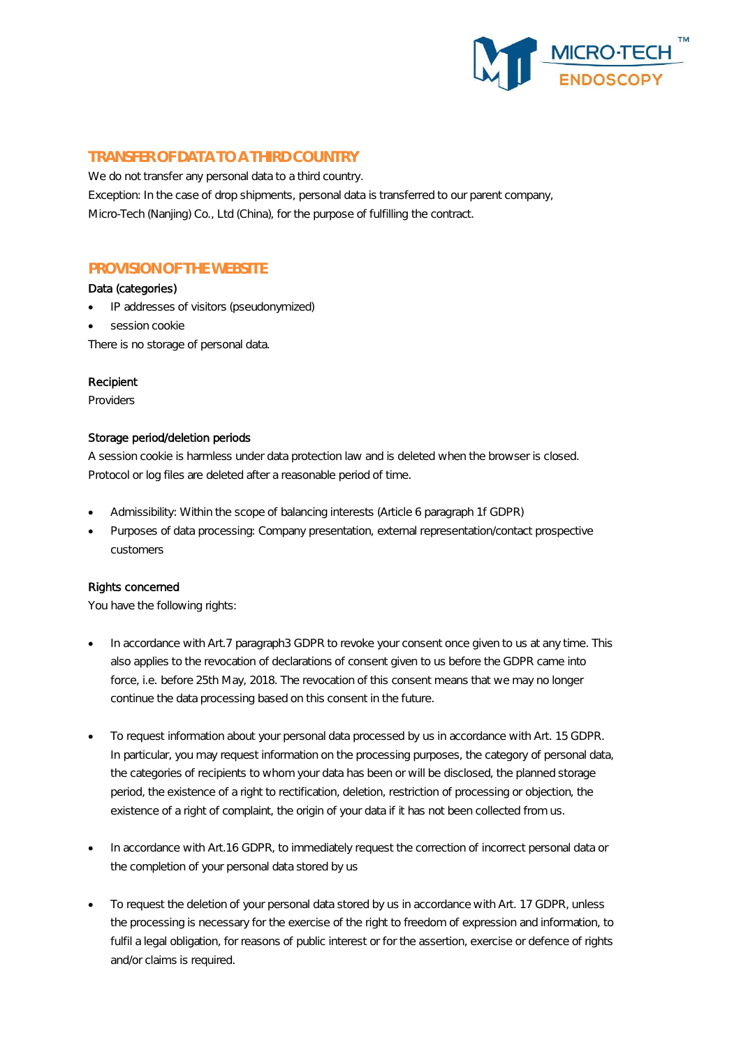

## **TRANSFER OF DATA TO A THIRD COUNTRY**

We do not transfer any personal data to a third country. Exception: In the case of drop shipments, personal data is transferred to our parent company, Micro-Tech (Nanjing) Co., Ltd (China), for the purpose of fulfilling the contract.

# **PROVISION OF THE WEBSITE**

#### Data (categories)

- IP addresses of visitors (pseudonymized)
- session cookie

There is no storage of personal data.

#### Recipient

Providers

#### Storage period/deletion periods

A session cookie is harmless under data protection law and is deleted when the browser is closed. Protocol or log files are deleted after a reasonable period of time.

- Admissibility: Within the scope of balancing interests (Article 6 paragraph 1f GDPR)
- Purposes of data processing: Company presentation, external representation/contact prospective customers

#### Rights concerned

You have the following rights:

- In accordance with Art.7 paragraph3 GDPR to revoke your consent once given to us at any time. This also applies to the revocation of declarations of consent given to us before the GDPR came into force, i.e. before 25th May, 2018. The revocation of this consent means that we may no longer continue the data processing based on this consent in the future.
- To request information about your personal data processed by us in accordance with Art. 15 GDPR. In particular, you may request information on the processing purposes, the category of personal data, the categories of recipients to whom your data has been or will be disclosed, the planned storage period, the existence of a right to rectification, deletion, restriction of processing or objection, the existence of a right of complaint, the origin of your data if it has not been collected from us.
- In accordance with Art.16 GDPR, to immediately request the correction of incorrect personal data or the completion of your personal data stored by us
- To request the deletion of your personal data stored by us in accordance with Art. 17 GDPR, unless the processing is necessary for the exercise of the right to freedom of expression and information, to fulfil a legal obligation, for reasons of public interest or for the assertion, exercise or defence of rights and/or claims is required.